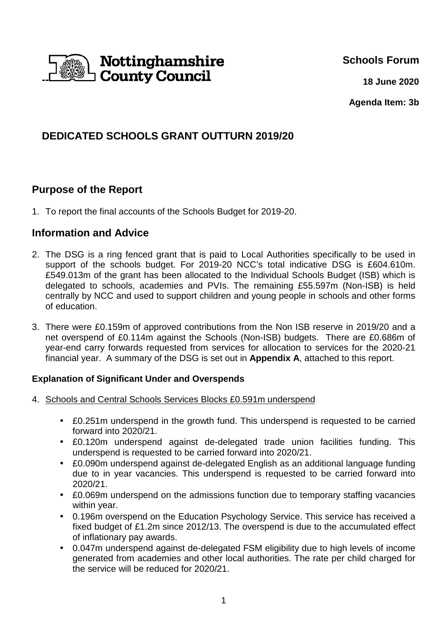

**Schools Forum**

 **18 June 2020**

**Agenda Item: 3b** 

# **DEDICATED SCHOOLS GRANT OUTTURN 2019/20**

## **Purpose of the Report**

1. To report the final accounts of the Schools Budget for 2019-20.

### **Information and Advice**

- 2. The DSG is a ring fenced grant that is paid to Local Authorities specifically to be used in support of the schools budget. For 2019-20 NCC's total indicative DSG is £604.610m. £549.013m of the grant has been allocated to the Individual Schools Budget (ISB) which is delegated to schools, academies and PVIs. The remaining £55.597m (Non-ISB) is held centrally by NCC and used to support children and young people in schools and other forms of education.
- 3. There were £0.159m of approved contributions from the Non ISB reserve in 2019/20 and a net overspend of £0.114m against the Schools (Non-ISB) budgets. There are £0.686m of year-end carry forwards requested from services for allocation to services for the 2020-21 financial year. A summary of the DSG is set out in **Appendix A**, attached to this report.

### **Explanation of Significant Under and Overspends**

- 4. Schools and Central Schools Services Blocks £0.591m underspend
	- £0.251m underspend in the growth fund. This underspend is requested to be carried forward into 2020/21.
	- £0.120m underspend against de-delegated trade union facilities funding. This underspend is requested to be carried forward into 2020/21.
	- £0.090m underspend against de-delegated English as an additional language funding due to in year vacancies. This underspend is requested to be carried forward into 2020/21.
	- £0.069m underspend on the admissions function due to temporary staffing vacancies within year.
	- 0.196m overspend on the Education Psychology Service. This service has received a fixed budget of £1.2m since 2012/13. The overspend is due to the accumulated effect of inflationary pay awards.
	- 0.047m underspend against de-delegated FSM eligibility due to high levels of income generated from academies and other local authorities. The rate per child charged for the service will be reduced for 2020/21.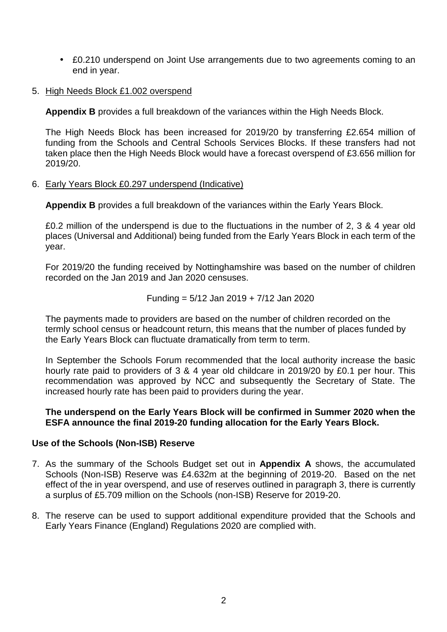- £0.210 underspend on Joint Use arrangements due to two agreements coming to an end in year.
- 5. High Needs Block £1.002 overspend

**Appendix B** provides a full breakdown of the variances within the High Needs Block.

The High Needs Block has been increased for 2019/20 by transferring £2.654 million of funding from the Schools and Central Schools Services Blocks. If these transfers had not taken place then the High Needs Block would have a forecast overspend of £3.656 million for 2019/20.

#### 6. Early Years Block £0.297 underspend (Indicative)

**Appendix B** provides a full breakdown of the variances within the Early Years Block.

£0.2 million of the underspend is due to the fluctuations in the number of 2, 3 & 4 year old places (Universal and Additional) being funded from the Early Years Block in each term of the year.

For 2019/20 the funding received by Nottinghamshire was based on the number of children recorded on the Jan 2019 and Jan 2020 censuses.

Funding = 
$$
5/12
$$
 Jan 2019 +  $7/12$  Jan 2020

The payments made to providers are based on the number of children recorded on the termly school census or headcount return, this means that the number of places funded by the Early Years Block can fluctuate dramatically from term to term.

In September the Schools Forum recommended that the local authority increase the basic hourly rate paid to providers of 3 & 4 year old childcare in 2019/20 by £0.1 per hour. This recommendation was approved by NCC and subsequently the Secretary of State. The increased hourly rate has been paid to providers during the year.

#### **The underspend on the Early Years Block will be confirmed in Summer 2020 when the ESFA announce the final 2019-20 funding allocation for the Early Years Block.**

#### **Use of the Schools (Non-ISB) Reserve**

- 7. As the summary of the Schools Budget set out in **Appendix A** shows, the accumulated Schools (Non-ISB) Reserve was £4.632m at the beginning of 2019-20. Based on the net effect of the in year overspend, and use of reserves outlined in paragraph 3, there is currently a surplus of £5.709 million on the Schools (non-ISB) Reserve for 2019-20.
- 8. The reserve can be used to support additional expenditure provided that the Schools and Early Years Finance (England) Regulations 2020 are complied with.